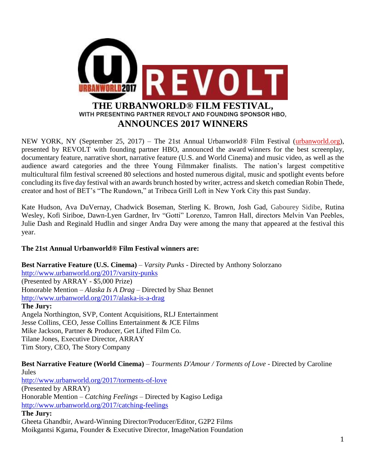

NEW YORK, NY (September 25, 2017) – The 21st Annual Urbanworld® Film Festival [\(urbanworld.org\)](http://www.urbanworld.org/), presented by REVOLT with founding partner HBO, announced the award winners for the best screenplay, documentary feature, narrative short, narrative feature (U.S. and World Cinema) and music video, as well as the audience award categories and the three Young Filmmaker finalists. The nation's largest competitive multicultural film festival screened 80 selections and hosted numerous digital, music and spotlight events before concluding its five day festival with an awards brunch hosted by writer, actress and sketch comedian Robin Thede, creator and host of BET's "The Rundown," at Tribeca Grill Loft in New York City this past Sunday.

Kate Hudson, Ava DuVernay, Chadwick Boseman, Sterling K. Brown, Josh Gad, Gabourey Sidibe, Rutina Wesley, Kofi Siriboe, Dawn-Lyen Gardner, Irv "Gotti" Lorenzo, Tamron Hall, directors Melvin Van Peebles, Julie Dash and Reginald Hudlin and singer Andra Day were among the many that appeared at the festival this year.

# **The 21st Annual Urbanworld® Film Festival winners are:**

**Best Narrative Feature (U.S. Cinema)** – *Varsity Punks* - Directed by Anthony Solorzano <http://www.urbanworld.org/2017/varsity-punks> (Presented by ARRAY - \$5,000 Prize) Honorable Mention – *Alaska Is A Drag* – Directed by Shaz Bennet <http://www.urbanworld.org/2017/alaska-is-a-drag> **The Jury:**

Angela Northington, SVP, Content Acquisitions, RLJ Entertainment Jesse Collins, CEO, Jesse Collins Entertainment & JCE Films Mike Jackson, Partner & Producer, Get Lifted Film Co. Tilane Jones, Executive Director, ARRAY Tim Story, CEO, The Story Company

**Best Narrative Feature (World Cinema)** – *Tourments D'Amour / Torments of Love* - Directed by Caroline Jules

<http://www.urbanworld.org/2017/torments-of-love> (Presented by ARRAY) Honorable Mention – *Catching Feelings* – Directed by Kagiso Lediga <http://www.urbanworld.org/2017/catching-feelings> **The Jury:**

Gheeta Ghandbir, Award-Winning Director/Producer/Editor, G2P2 Films Moikgantsi Kgama, Founder & Executive Director, ImageNation Foundation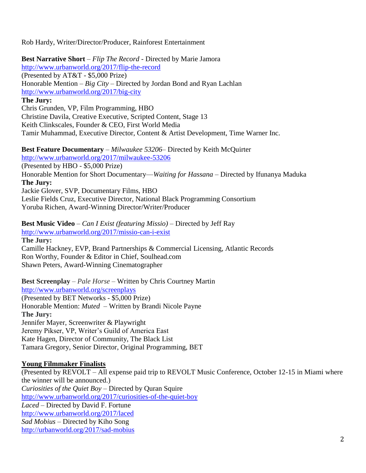Rob Hardy, Writer/Director/Producer, Rainforest Entertainment

**Best Narrative Short** – *Flip The Record* - Directed by Marie Jamora <http://www.urbanworld.org/2017/flip-the-record> (Presented by AT&T - \$5,000 Prize) Honorable Mention – *Big City* – Directed by Jordan Bond and Ryan Lachlan <http://www.urbanworld.org/2017/big-city> **The Jury:** Chris Grunden, VP, Film Programming, HBO Christine Davila, Creative Executive, Scripted Content, Stage 13 Keith Clinkscales, Founder & CEO, First World Media Tamir Muhammad, Executive Director, Content & Artist Development, Time Warner Inc.

**Best Feature Documentary** – *Milwaukee 53206–* Directed by Keith McQuirter <http://www.urbanworld.org/2017/milwaukee-53206> (Presented by HBO - \$5,000 Prize) Honorable Mention for Short Documentary—*Waiting for Hassana* – Directed by Ifunanya Maduka **The Jury:** Jackie Glover, SVP, Documentary Films, HBO Leslie Fields Cruz, Executive Director, National Black Programming Consortium Yoruba Richen, Award-Winning Director/Writer/Producer

**Best Music Video** – *Can I Exist (featuring Missio)* – Directed by Jeff Ray <http://www.urbanworld.org/2017/missio-can-i-exist> **The Jury:** Camille Hackney, EVP, Brand Partnerships & Commercial Licensing, Atlantic Records Ron Worthy, Founder & Editor in Chief, Soulhead.com Shawn Peters, Award-Winning Cinematographer

**Best Screenplay** – *Pale Horse* – Written by Chris Courtney Martin <http://www.urbanworld.org/screenplays> (Presented by BET Networks - \$5,000 Prize) Honorable Mention: *Muted* – Written by Brandi Nicole Payne **The Jury:** Jennifer Mayer, Screenwriter & Playwright Jeremy Pikser, VP, Writer's Guild of America East Kate Hagen, Director of Community, The Black List Tamara Gregory, Senior Director, Original Programming, BET

# **Young Filmmaker Finalists**

(Presented by REVOLT – All expense paid trip to REVOLT Music Conference, October 12-15 in Miami where the winner will be announced.) *Curiosities of the Quiet Boy* – Directed by Quran Squire <http://www.urbanworld.org/2017/curiosities-of-the-quiet-boy> *Laced* – Directed by David F. Fortune <http://www.urbanworld.org/2017/laced> *Sad Mobius* – Directed by Kiho Song <http://urbanworld.org/2017/sad-mobius>